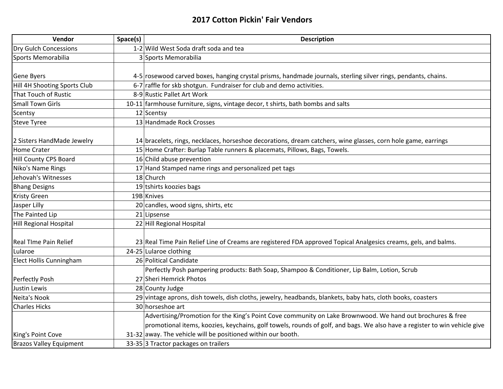## **2017 Cotton Pickin' Fair Vendors**

| Vendor                         | Space(s) | <b>Description</b>                                                                                                        |
|--------------------------------|----------|---------------------------------------------------------------------------------------------------------------------------|
| <b>Dry Gulch Concessions</b>   |          | 1-2 Wild West Soda draft soda and tea                                                                                     |
| Sports Memorabilia             |          | 3 Sports Memorabilia                                                                                                      |
|                                |          |                                                                                                                           |
| Gene Byers                     |          | 4-5 rosewood carved boxes, hanging crystal prisms, handmade journals, sterling silver rings, pendants, chains.            |
| Hill 4H Shooting Sports Club   |          | 6-7 raffle for skb shotgun. Fundraiser for club and demo activities.                                                      |
| <b>That Touch of Rustic</b>    |          | 8-9 Rustic Pallet Art Work                                                                                                |
| <b>Small Town Girls</b>        |          | 10-11 farmhouse furniture, signs, vintage decor, t shirts, bath bombs and salts                                           |
| Scentsy                        |          | 12 Scentsy                                                                                                                |
| <b>Steve Tyree</b>             |          | 13 Handmade Rock Crosses                                                                                                  |
|                                |          |                                                                                                                           |
| 2 Sisters HandMade Jewelry     |          | 14 bracelets, rings, necklaces, horseshoe decorations, dream catchers, wine glasses, corn hole game, earrings             |
| <b>Home Crater</b>             |          | 15 Home Crafter: Burlap Table runners & placemats, Pillows, Bags, Towels.                                                 |
| Hill County CPS Board          |          | 16 Child abuse prevention                                                                                                 |
| Niko's Name Rings              |          | 17 Hand Stamped name rings and personalized pet tags                                                                      |
| Jehovah's Witnesses            |          | 18 Church                                                                                                                 |
| <b>Bhang Designs</b>           |          | 19 tshirts koozies bags                                                                                                   |
| <b>Kristy Green</b>            |          | 19B Knives                                                                                                                |
| Jasper Lilly                   |          | 20 candles, wood signs, shirts, etc                                                                                       |
| The Painted Lip                |          | 21 Lipsense                                                                                                               |
| Hill Regional Hospital         |          | 22 Hill Regional Hospital                                                                                                 |
|                                |          |                                                                                                                           |
| Real TIme Pain Relief          |          | 23 Real Time Pain Relief Line of Creams are registered FDA approved Topical Analgesics creams, gels, and balms.           |
| Lularoe                        |          | 24-25 Lularoe clothing                                                                                                    |
| Elect Hollis Cunningham        |          | 26 Political Candidate                                                                                                    |
|                                |          | Perfectly Posh pampering products: Bath Soap, Shampoo & Conditioner, Lip Balm, Lotion, Scrub                              |
| <b>Perfectly Posh</b>          |          | 27 Sheri Hemrick Photos                                                                                                   |
| <b>Justin Lewis</b>            |          | 28 County Judge                                                                                                           |
| Neita's Nook                   |          | 29 vintage aprons, dish towels, dish cloths, jewelry, headbands, blankets, baby hats, cloth books, coasters               |
| <b>Charles Hicks</b>           |          | 30 horseshoe art                                                                                                          |
|                                |          | Advertising/Promotion for the King's Point Cove community on Lake Brownwood. We hand out brochures & free                 |
|                                |          | promotional items, koozies, keychains, golf towels, rounds of golf, and bags. We also have a register to win vehicle give |
| King's Point Cove              |          | 31-32 away. The vehicle will be positioned within our booth.                                                              |
| <b>Brazos Valley Equipment</b> |          | 33-35 3 Tractor packages on trailers                                                                                      |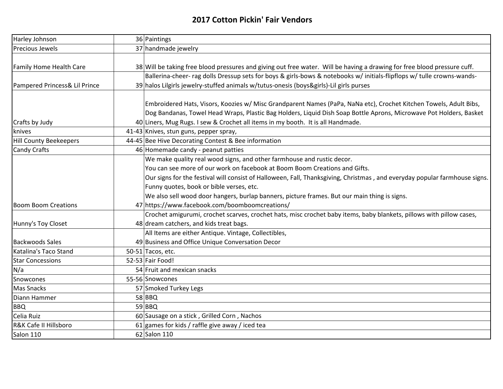## **2017 Cotton Pickin' Fair Vendors**

| Harley Johnson                | 36 Paintings                                                                                                               |
|-------------------------------|----------------------------------------------------------------------------------------------------------------------------|
| <b>Precious Jewels</b>        | 37 handmade jewelry                                                                                                        |
|                               |                                                                                                                            |
| Family Home Health Care       | 38 Will be taking free blood pressures and giving out free water. Will be having a drawing for free blood pressure cuff.   |
|                               | Ballerina-cheer- rag dolls Dressup sets for boys & girls-bows & notebooks w/ initials-flipflops w/ tulle crowns-wands-     |
| Pampered Princess& Lil Prince | 39 halos Lilgirls jewelry-stuffed animals w/tutus-onesis (boys&girls)-Lil girls purses                                     |
|                               |                                                                                                                            |
|                               | Embroidered Hats, Visors, Koozies w/ Misc Grandparent Names (PaPa, NaNa etc), Crochet Kitchen Towels, Adult Bibs,          |
|                               | Dog Bandanas, Towel Head Wraps, Plastic Bag Holders, Liquid Dish Soap Bottle Aprons, Microwave Pot Holders, Basket         |
| Crafts by Judy                | 40 Liners, Mug Rugs. I sew & Crochet all items in my booth. It is all Handmade.                                            |
| knives                        | 41-43 Knives, stun guns, pepper spray,                                                                                     |
| <b>Hill County Beekeepers</b> | 44-45 Bee Hive Decorating Contest & Bee information                                                                        |
| <b>Candy Crafts</b>           | 46 Homemade candy - peanut patties                                                                                         |
|                               | We make quality real wood signs, and other farmhouse and rustic decor.                                                     |
|                               | You can see more of our work on facebook at Boom Boom Creations and Gifts.                                                 |
|                               | Our signs for the festival will consist of Halloween, Fall, Thanksgiving, Christmas, and everyday popular farmhouse signs. |
|                               | Funny quotes, book or bible verses, etc.                                                                                   |
|                               | We also sell wood door hangers, burlap banners, picture frames. But our main thing is signs.                               |
| <b>Boom Boom Creations</b>    | 47 https://www.facebook.com/boomboomcreations/                                                                             |
|                               | Crochet amigurumi, crochet scarves, crochet hats, misc crochet baby items, baby blankets, pillows with pillow cases,       |
| Hunny's Toy Closet            | 48 dream catchers, and kids treat bags.                                                                                    |
|                               | All Items are either Antique. Vintage, Collectibles,                                                                       |
| <b>Backwoods Sales</b>        | 49 Business and Office Unique Conversation Decor                                                                           |
| Katalina's Taco Stand         | 50-51 Tacos, etc.                                                                                                          |
| <b>Star Concessions</b>       | 52-53 Fair Food!                                                                                                           |
| N/a                           | 54 Fruit and mexican snacks                                                                                                |
| Snowcones                     | 55-56 Snowcones                                                                                                            |
| <b>Mas Snacks</b>             | 57 Smoked Turkey Legs                                                                                                      |
| Diann Hammer                  | 58 BBQ                                                                                                                     |
| <b>BBQ</b>                    | 59 BBQ                                                                                                                     |
| Celia Ruiz                    | 60 Sausage on a stick, Grilled Corn, Nachos                                                                                |
| R&K Cafe II Hillsboro         | 61 games for kids / raffle give away / iced tea                                                                            |
| Salon 110                     | 62 Salon 110                                                                                                               |